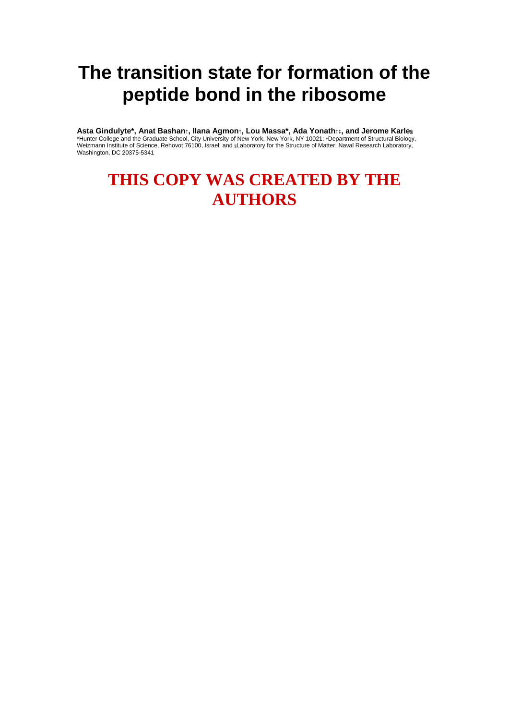# **The transition state for formation of the peptide bond in the ribosome**

**Asta Gindulyte\*, Anat Bashan†, Ilana Agmon†, Lou Massa\*, Ada Yonath†‡, and Jerome Karle§**  \*Hunter College and the Graduate School, City University of New York, New York, NY 10021; †Department of Structural Biology, Weizmann Institute of Science, Rehovot 76100, Israel; and §Laboratory for the Structure of Matter, Naval Research Laboratory, Washington, DC 20375-5341

## **THIS COPY WAS CREATED BY THE AUTHORS**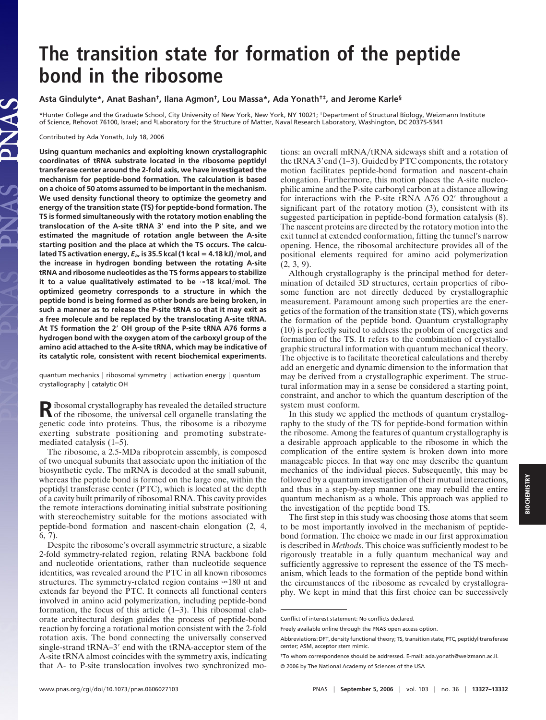# **The transition state for formation of the peptide bond in the ribosome**

#### **Asta Gindulyte\*, Anat Bashan†, Ilana Agmon†, Lou Massa\*, Ada Yonath†‡, and Jerome Karle§**

\*Hunter College and the Graduate School, City University of New York, New York, NY 10021; †Department of Structural Biology, Weizmann Institute of Science, Rehovot 76100, Israel; and <sup>§</sup>Laboratory for the Structure of Matter, Naval Research Laboratory, Washington, DC 20375-5341

Contributed by Ada Yonath, July 18, 2006

**Using quantum mechanics and exploiting known crystallographic coordinates of tRNA substrate located in the ribosome peptidyl transferase center around the 2-fold axis, we have investigated the mechanism for peptide-bond formation. The calculation is based on a choice of 50 atoms assumed to be important in the mechanism. We used density functional theory to optimize the geometry and energy of the transition state (TS) for peptide-bond formation. The TS is formed simultaneously with the rotatory motion enabling the translocation of the A-site tRNA 3 end into the P site, and we estimated the magnitude of rotation angle between the A-site starting position and the place at which the TS occurs. The calculated TS activation energy,** *Ea***, is 35.5 kcal (1 kcal 4.18 kJ)mol, and the increase in hydrogen bonding between the rotating A-site tRNA and ribosome nucleotides as the TS forms appears to stabilize it to a value qualitatively estimated to be 18 kcalmol. The optimized geometry corresponds to a structure in which the peptide bond is being formed as other bonds are being broken, in such a manner as to release the P-site tRNA so that it may exit as a free molecule and be replaced by the translocating A-site tRNA. At TS formation the 2 OH group of the P-site tRNA A76 forms a hydrogen bond with the oxygen atom of the carboxyl group of the amino acid attached to the A-site tRNA, which may be indicative of its catalytic role, consistent with recent biochemical experiments.**

quantum mechanics | ribosomal symmetry | activation energy | quantum crystallography | catalytic OH

Ribosomal crystallography has revealed the detailed structure<br>of the ribosome, the universal cell organelle translating the genetic code into proteins. Thus, the ribosome is a ribozyme exerting substrate positioning and promoting substratemediated catalysis (1–5).

The ribosome, a 2.5-MDa riboprotein assembly, is composed of two unequal subunits that associate upon the initiation of the biosynthetic cycle. The mRNA is decoded at the small subunit, whereas the peptide bond is formed on the large one, within the peptidyl transferase center (PTC), which is located at the depth of a cavity built primarily of ribosomal RNA. This cavity provides the remote interactions dominating initial substrate positioning with stereochemistry suitable for the motions associated with peptide-bond formation and nascent-chain elongation (2, 4, 6, 7).

Despite the ribosome's overall asymmetric structure, a sizable 2-fold symmetry-related region, relating RNA backbone fold and nucleotide orientations, rather than nucleotide sequence identities, was revealed around the PTC in all known ribosomes structures. The symmetry-related region contains  $\approx 180$  nt and extends far beyond the PTC. It connects all functional centers involved in amino acid polymerization, including peptide-bond formation, the focus of this article (1–3). This ribosomal elaborate architectural design guides the process of peptide-bond reaction by forcing a rotational motion consistent with the 2-fold rotation axis. The bond connecting the universally conserved single-strand tRNA–3' end with the tRNA-acceptor stem of the A-site tRNA almost coincides with the symmetry axis, indicating that A- to P-site translocation involves two synchronized motions: an overall mRNA/tRNA sideways shift and a rotation of the tRNA 3'end (1-3). Guided by PTC components, the rotatory motion facilitates peptide-bond formation and nascent-chain elongation. Furthermore, this motion places the A-site nucleophilic amine and the P-site carbonyl carbon at a distance allowing for interactions with the P-site tRNA A76 O2' throughout a significant part of the rotatory motion (3), consistent with its suggested participation in peptide-bond formation catalysis (8). The nascent proteins are directed by the rotatory motion into the exit tunnel at extended conformation, fitting the tunnel's narrow opening. Hence, the ribosomal architecture provides all of the positional elements required for amino acid polymerization  $(2, 3, 9)$ .

Although crystallography is the principal method for determination of detailed 3D structures, certain properties of ribosome function are not directly deduced by crystallographic measurement. Paramount among such properties are the energetics of the formation of the transition state (TS), which governs the formation of the peptide bond. Quantum crystallography (10) is perfectly suited to address the problem of energetics and formation of the TS. It refers to the combination of crystallographic structural information with quantum mechanical theory. The objective is to facilitate theoretical calculations and thereby add an energetic and dynamic dimension to the information that may be derived from a crystallographic experiment. The structural information may in a sense be considered a starting point, constraint, and anchor to which the quantum description of the system must conform.

In this study we applied the methods of quantum crystallography to the study of the TS for peptide-bond formation within the ribosome. Among the features of quantum crystallography is a desirable approach applicable to the ribosome in which the complication of the entire system is broken down into more manageable pieces. In that way one may describe the quantum mechanics of the individual pieces. Subsequently, this may be followed by a quantum investigation of their mutual interactions, and thus in a step-by-step manner one may rebuild the entire quantum mechanism as a whole. This approach was applied to the investigation of the peptide bond TS.

The first step in this study was choosing those atoms that seem to be most importantly involved in the mechanism of peptidebond formation. The choice we made in our first approximation is described in *Methods*. This choice was sufficiently modest to be rigorously treatable in a fully quantum mechanical way and sufficiently aggressive to represent the essence of the TS mechanism, which leads to the formation of the peptide bond within the circumstances of the ribosome as revealed by crystallography. We kept in mind that this first choice can be successively

Conflict of interest statement: No conflicts declared.

Freely available online through the PNAS open access option.

Abbreviations: DFT, density functional theory; TS, transition state; PTC, peptidyl transferase center; ASM, acceptor stem mimic.

<sup>‡</sup>To whom correspondence should be addressed. E-mail: ada.yonath@weizmann.ac.il.

<sup>© 2006</sup> by The National Academy of Sciences of the USA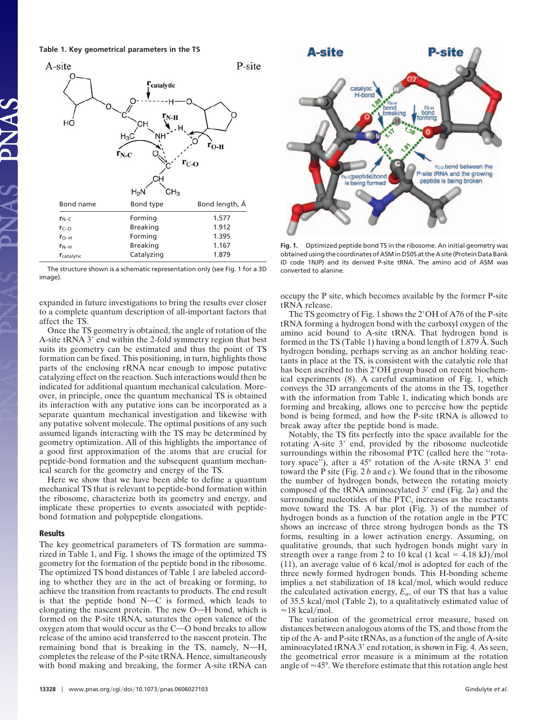**Table 1. Key geometrical parameters in the TS**



The structure shown is a schematic representation only (see Fig. 1 for a 3D image).

expanded in future investigations to bring the results ever closer to a complete quantum description of all-important factors that affect the TS.

Once the TS geometry is obtained, the angle of rotation of the A-site tRNA 3' end within the 2-fold symmetry region that best suits its geometry can be estimated and thus the point of TS formation can be fixed. This positioning, in turn, highlights those parts of the enclosing rRNA near enough to impose putative catalyzing effect on the reaction. Such interactions would then be indicated for additional quantum mechanical calculation. Moreover, in principle, once the quantum mechanical TS is obtained its interaction with any putative ions can be incorporated as a separate quantum mechanical investigation and likewise with any putative solvent molecule. The optimal positions of any such assumed ligands interacting with the TS may be determined by geometry optimization. All of this highlights the importance of a good first approximation of the atoms that are crucial for peptide-bond formation and the subsequent quantum mechanical search for the geometry and energy of the TS.

Here we show that we have been able to define a quantum mechanical TS that is relevant to peptide-bond formation within the ribosome, characterize both its geometry and energy, and implicate these properties to events associated with peptidebond formation and polypeptide elongations.

#### **Results**

The key geometrical parameters of TS formation are summarized in Table 1, and Fig. 1 shows the image of the optimized TS geometry for the formation of the peptide bond in the ribosome. The optimized TS bond distances of Table 1 are labeled according to whether they are in the act of breaking or forming, to achieve the transition from reactants to products. The end result is that the peptide bond  $N-C$  is formed, which leads to elongating the nascent protein. The new O-H bond, which is formed on the P-site tRNA, saturates the open valence of the oxygen atom that would occur as the  $C$ —O bond breaks to allow release of the amino acid transferred to the nascent protein. The remaining bond that is breaking in the TS, namely,  $N-H$ , completes the release of the P-site tRNA. Hence, simultaneously with bond making and breaking, the former A-site tRNA can



**Fig. 1.** Optimized peptide bond TS in the ribosome. An initial geometry was obtained using the coordinates of ASM in D50S at the A site (Protein Data Bank ID code 1NJP) and its derived P-site tRNA. The amino acid of ASM was converted to alanine.

occupy the P site, which becomes available by the former P-site tRNA release.

The TS geometry of Fig. 1 shows the 2'OH of A76 of the P-site tRNA forming a hydrogen bond with the carboxyl oxygen of the amino acid bound to A-site tRNA. That hydrogen bond is formed in the TS (Table 1) having a bond length of 1.879 Å. Such hydrogen bonding, perhaps serving as an anchor holding reactants in place at the TS, is consistent with the catalytic role that has been ascribed to this 2'OH group based on recent biochemical experiments (8). A careful examination of Fig. 1, which conveys the 3D arrangements of the atoms in the TS, together with the information from Table 1, indicating which bonds are forming and breaking, allows one to perceive how the peptide bond is being formed, and how the P-site tRNA is allowed to break away after the peptide bond is made.

Notably, the TS fits perfectly into the space available for the rotating A-site 3' end, provided by the ribosome nucleotide surroundings within the ribosomal PTC (called here the "rotatory space"), after a 45° rotation of the A-site tRNA 3' end toward the P site (Fig. 2 *b* and *c*). We found that in the ribosome the number of hydrogen bonds, between the rotating moiety composed of the tRNA aminoacylated 3' end (Fig. 2a) and the surrounding nucleotides of the PTC, increases as the reactants move toward the TS. A bar plot (Fig. 3) of the number of hydrogen bonds as a function of the rotation angle in the PTC shows an increase of three strong hydrogen bonds as the TS forms, resulting in a lower activation energy. Assuming, on qualitative grounds, that such hydrogen bonds might vary in strength over a range from 2 to 10 kcal (1 kcal  $= 4.18 \text{ kJ/mol}$ )  $(11)$ , an average value of 6 kcal/mol is adopted for each of the three newly formed hydrogen bonds. This H-bonding scheme implies a net stabilization of 18 kcal/mol, which would reduce the calculated activation energy,  $E_a$ , of our TS that has a value of 35.5 kcal/mol (Table 2), to a qualitatively estimated value of  $\approx$ 18 kcal/mol.

The variation of the geometrical error measure, based on distances between analogous atoms of the TS, and those from the tip of the A- and P-site tRNAs, as a function of the angle of A-site aminoacylated tRNA 3' end rotation, is shown in Fig. 4. As seen, the geometrical error measure is a minimum at the rotation angle of  $\approx 45^\circ$ . We therefore estimate that this rotation angle best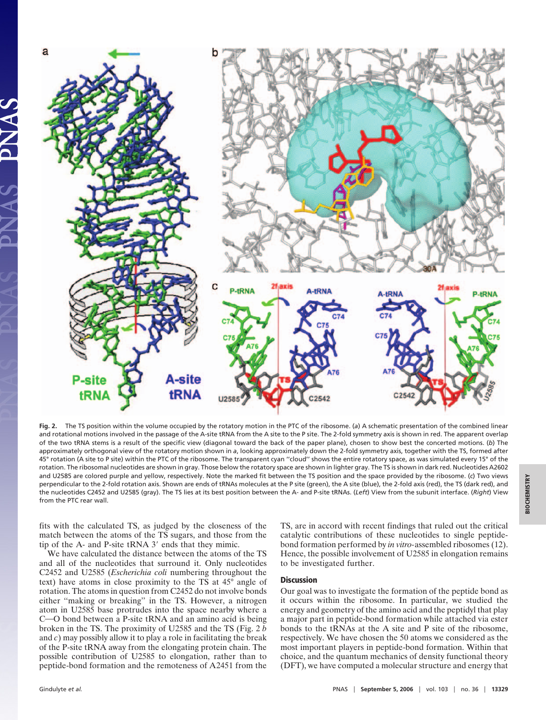

**Fig. 2.** The TS position within the volume occupied by the rotatory motion in the PTC of the ribosome. (*a*) A schematic presentation of the combined linear and rotational motions involved in the passage of the A-site tRNA from the A site to the P site. The 2-fold symmetry axis is shown in red. The apparent overlap of the two tRNA stems is a result of the specific view (diagonal toward the back of the paper plane), chosen to show best the concerted motions. (*b*) The approximately orthogonal view of the rotatory motion shown in *a*, looking approximately down the 2-fold symmetry axis, together with the TS, formed after 45° rotation (A site to P site) within the PTC of the ribosome. The transparent cyan ''cloud'' shows the entire rotatory space, as was simulated every 15° of the rotation. The ribosomal nucleotides are shown in gray. Those below the rotatory space are shown in lighter gray. The TS is shown in dark red. Nucleotides A2602 and U2585 are colored purple and yellow, respectively. Note the marked fit between the TS position and the space provided by the ribosome. (*c*) Two views perpendicular to the 2-fold rotation axis. Shown are ends of tRNAs molecules at the P site (green), the A site (blue), the 2-fold axis (red), the TS (dark red), and the nucleotides C2452 and U2585 (gray). The TS lies at its best position between the A- and P-site tRNAs. (*Left*) View from the subunit interface. (*Right*) View from the PTC rear wall.

fits with the calculated TS, as judged by the closeness of the match between the atoms of the TS sugars, and those from the tip of the A- and P-site tRNA 3' ends that they mimic.

We have calculated the distance between the atoms of the TS and all of the nucleotides that surround it. Only nucleotides C2452 and U2585 (*Escherichia coli* numbering throughout the text) have atoms in close proximity to the TS at 45° angle of rotation. The atoms in question from C2452 do not involve bonds either ''making or breaking'' in the TS. However, a nitrogen atom in U2585 base protrudes into the space nearby where a C-O bond between a P-site tRNA and an amino acid is being broken in the TS. The proximity of U2585 and the TS (Fig. 2 *b* and *c*) may possibly allow it to play a role in facilitating the break of the P-site tRNA away from the elongating protein chain. The possible contribution of U2585 to elongation, rather than to peptide-bond formation and the remoteness of A2451 from the TS, are in accord with recent findings that ruled out the critical catalytic contributions of these nucleotides to single peptidebond formation performed by *in vitro-*assembled ribosomes (12). Hence, the possible involvement of U2585 in elongation remains to be investigated further.

#### **Discussion**

Our goal was to investigate the formation of the peptide bond as it occurs within the ribosome. In particular, we studied the energy and geometry of the amino acid and the peptidyl that play a major part in peptide-bond formation while attached via ester bonds to the tRNAs at the A site and P site of the ribosome, respectively. We have chosen the 50 atoms we considered as the most important players in peptide-bond formation. Within that choice, and the quantum mechanics of density functional theory (DFT), we have computed a molecular structure and energy that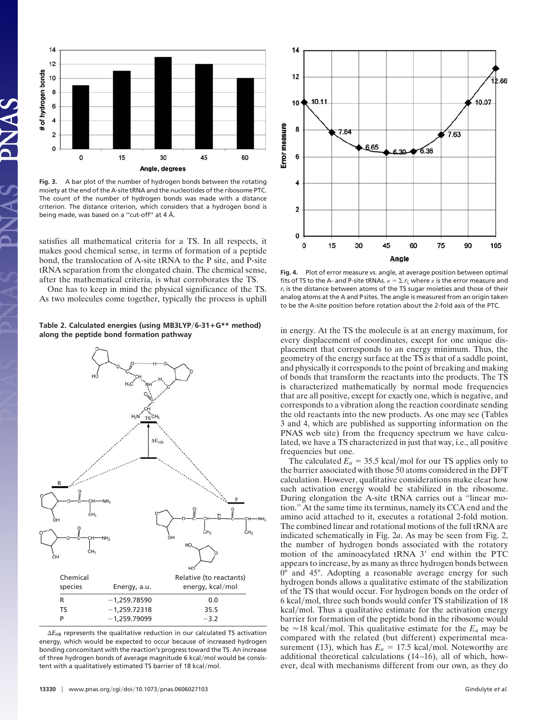

**Fig. 3.** A bar plot of the number of hydrogen bonds between the rotating moiety at the end of the A-site tRNA and the nucleotides of the ribosome PTC. The count of the number of hydrogen bonds was made with a distance criterion. The distance criterion, which considers that a hydrogen bond is being made, was based on a ''cut-off'' at 4 Å.

satisfies all mathematical criteria for a TS. In all respects, it makes good chemical sense, in terms of formation of a peptide bond, the translocation of A-site tRNA to the P site, and P-site tRNA separation from the elongated chain. The chemical sense, after the mathematical criteria, is what corroborates the TS.

One has to keep in mind the physical significance of the TS. As two molecules come together, typically the process is uphill

#### **Table 2. Calculated energies (using MB3LYP6-31**-**G\*\* method) along the peptide bond formation pathway**



 $\Delta E_{\text{HB}}$  represents the qualitative reduction in our calculated TS activation energy, which would be expected to occur because of increased hydrogen bonding concomitant with the reaction's progress toward the TS. An increase of three hydrogen bonds of average magnitude 6 kcal/mol would be consistent with a qualitatively estimated TS barrier of 18 kcal/mol.



**Fig. 4.** Plot of error measure vs. angle, at average position between optimal fits of TS to the A- and P-site tRNAs.  $\varepsilon = \sum r_i$ , where  $\varepsilon$  is the error measure and *ri* is the distance between atoms of the TS sugar moieties and those of their analog atoms at the A and P sites. The angle is measured from an origin taken to be the A-site position before rotation about the 2-fold axis of the PTC.

in energy. At the TS the molecule is at an energy maximum, for every displacement of coordinates, except for one unique displacement that corresponds to an energy minimum. Thus, the geometry of the energy surface at the TS is that of a saddle point, and physically it corresponds to the point of breaking and making of bonds that transform the reactants into the products. The TS is characterized mathematically by normal mode frequencies that are all positive, except for exactly one, which is negative, and corresponds to a vibration along the reaction coordinate sending the old reactants into the new products. As one may see (Tables 3 and 4, which are published as supporting information on the PNAS web site) from the frequency spectrum we have calculated, we have a TS characterized in just that way, i.e., all positive frequencies but one.

The calculated  $E_a = 35.5$  kcal/mol for our TS applies only to the barrier associated with those 50 atoms considered in the DFT calculation. However, qualitative considerations make clear how such activation energy would be stabilized in the ribosome. During elongation the A-site tRNA carries out a ''linear motion.'' At the same time its terminus, namely its CCA end and the amino acid attached to it, executes a rotational 2-fold motion. The combined linear and rotational motions of the full tRNA are indicated schematically in Fig. 2*a*. As may be seen from Fig. 2, the number of hydrogen bonds associated with the rotatory motion of the aminoacylated tRNA 3' end within the PTC appears to increase, by as many as three hydrogen bonds between 0° and 45°. Adopting a reasonable average energy for such hydrogen bonds allows a qualitative estimate of the stabilization of the TS that would occur. For hydrogen bonds on the order of 6 kcal/mol, three such bonds would confer TS stabilization of 18 kcal/mol. Thus a qualitative estimate for the activation energy barrier for formation of the peptide bond in the ribosome would be  $\approx$ 18 kcal/mol. This qualitative estimate for the  $E_a$  may be compared with the related (but different) experimental measurement (13), which has  $E_a = 17.5$  kcal/mol. Noteworthy are additional theoretical calculations (14–16), all of which, however, deal with mechanisms different from our own, as they do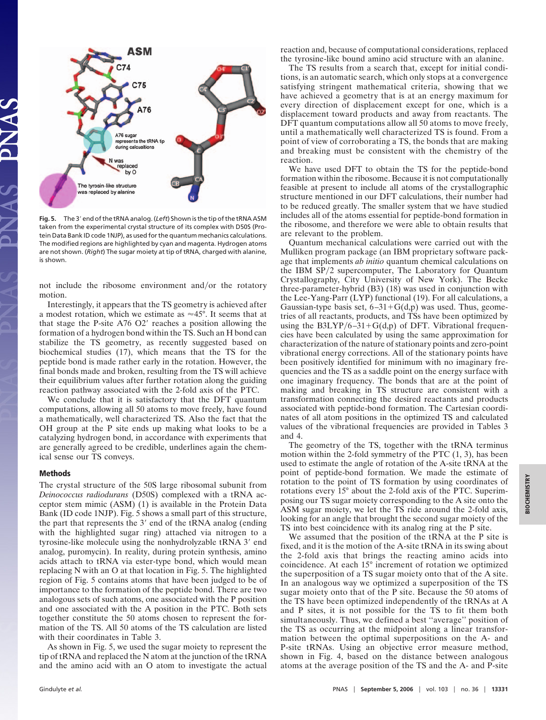

**Fig. 5.** The 3' end of the tRNA analog. (*Left*) Shown is the tip of the tRNA ASM taken from the experimental crystal structure of its complex with D50S (Protein Data Bank ID code 1NJP), as used for the quantum mechanics calculations. The modified regions are highlighted by cyan and magenta. Hydrogen atoms are not shown. (*Right*) The sugar moiety at tip of tRNA, charged with alanine, is shown.

not include the ribosome environment and/or the rotatory motion.

Interestingly, it appears that the TS geometry is achieved after a modest rotation, which we estimate as  $\approx 45^{\circ}$ . It seems that at that stage the P-site A76 O2' reaches a position allowing the formation of a hydrogen bond within the TS. Such an H bond can stabilize the TS geometry, as recently suggested based on biochemical studies (17), which means that the TS for the peptide bond is made rather early in the rotation. However, the final bonds made and broken, resulting from the TS will achieve their equilibrium values after further rotation along the guiding reaction pathway associated with the 2-fold axis of the PTC.

We conclude that it is satisfactory that the DFT quantum computations, allowing all 50 atoms to move freely, have found a mathematically, well characterized TS. Also the fact that the OH group at the P site ends up making what looks to be a catalyzing hydrogen bond, in accordance with experiments that are generally agreed to be credible, underlines again the chemical sense our TS conveys.

#### **Methods**

The crystal structure of the 50S large ribosomal subunit from *Deinococcus radiodurans* (D50S) complexed with a tRNA acceptor stem mimic (ASM) (1) is available in the Protein Data Bank (ID code 1NJP). Fig. 5 shows a small part of this structure, the part that represents the 3' end of the tRNA analog (ending with the highlighted sugar ring) attached via nitrogen to a tyrosine-like molecule using the nonhydrolyzable tRNA 3' end analog, puromycin). In reality, during protein synthesis, amino acids attach to tRNA via ester-type bond, which would mean replacing N with an O at that location in Fig. 5. The highlighted region of Fig. 5 contains atoms that have been judged to be of importance to the formation of the peptide bond. There are two analogous sets of such atoms, one associated with the P position and one associated with the A position in the PTC. Both sets together constitute the 50 atoms chosen to represent the formation of the TS. All 50 atoms of the TS calculation are listed with their coordinates in Table 3.

As shown in Fig. 5, we used the sugar moiety to represent the tip of tRNA and replaced the N atom at the junction of the tRNA and the amino acid with an O atom to investigate the actual reaction and, because of computational considerations, replaced the tyrosine-like bound amino acid structure with an alanine.

The TS results from a search that, except for initial conditions, is an automatic search, which only stops at a convergence satisfying stringent mathematical criteria, showing that we have achieved a geometry that is at an energy maximum for every direction of displacement except for one, which is a displacement toward products and away from reactants. The DFT quantum computations allow all 50 atoms to move freely, until a mathematically well characterized TS is found. From a point of view of corroborating a TS, the bonds that are making and breaking must be consistent with the chemistry of the reaction.

We have used DFT to obtain the TS for the peptide-bond formation within the ribosome. Because it is not computationally feasible at present to include all atoms of the crystallographic structure mentioned in our DFT calculations, their number had to be reduced greatly. The smaller system that we have studied includes all of the atoms essential for peptide-bond formation in the ribosome, and therefore we were able to obtain results that are relevant to the problem.

Quantum mechanical calculations were carried out with the Mulliken program package (an IBM proprietary software package that implements *ab initio* quantum chemical calculations on the IBM  $SP/2$  supercomputer, The Laboratory for Quantum Crystallography, City University of New York). The Becke three-parameter-hybrid (B3) (18) was used in conjunction with the Lee-Yang-Parr (LYP) functional (19). For all calculations, a Gaussian-type basis set,  $6-31+G(d,p)$  was used. Thus, geometries of all reactants, products, and TSs have been optimized by using the  $B3LYP/6-31+G(d,p)$  of DFT. Vibrational frequencies have been calculated by using the same approximation for characterization of the nature of stationary points and zero-point vibrational energy corrections. All of the stationary points have been positively identified for minimum with no imaginary frequencies and the TS as a saddle point on the energy surface with one imaginary frequency. The bonds that are at the point of making and breaking in TS structure are consistent with a transformation connecting the desired reactants and products associated with peptide-bond formation. The Cartesian coordinates of all atom positions in the optimized TS and calculated values of the vibrational frequencies are provided in Tables 3 and 4.

The geometry of the TS, together with the tRNA terminus motion within the 2-fold symmetry of the PTC (1, 3), has been used to estimate the angle of rotation of the A-site tRNA at the point of peptide-bond formation. We made the estimate of rotation to the point of TS formation by using coordinates of rotations every 15° about the 2-fold axis of the PTC. Superimposing our TS sugar moiety corresponding to the A site onto the ASM sugar moiety, we let the TS ride around the 2-fold axis, looking for an angle that brought the second sugar moiety of the TS into best coincidence with its analog ring at the P site.

We assumed that the position of the tRNA at the P site is fixed, and it is the motion of the A-site tRNA in its swing about the 2-fold axis that brings the reacting amino acids into coincidence. At each 15° increment of rotation we optimized the superposition of a TS sugar moiety onto that of the A site. In an analogous way we optimized a superposition of the TS sugar moiety onto that of the P site. Because the 50 atoms of the TS have been optimized independently of the tRNAs at A and P sites, it is not possible for the TS to fit them both simultaneously. Thus, we defined a best ''average'' position of the TS as occurring at the midpoint along a linear transformation between the optimal superpositions on the A- and P-site tRNAs. Using an objective error measure method, shown in Fig. 4, based on the distance between analogous atoms at the average position of the TS and the A- and P-site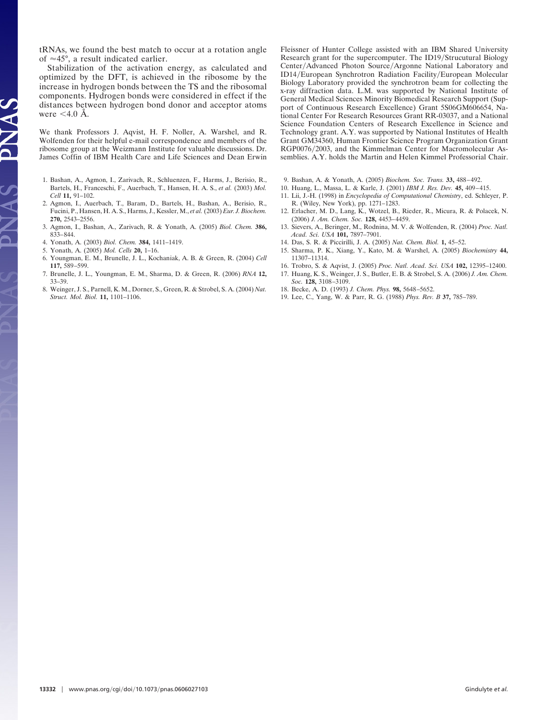tRNAs, we found the best match to occur at a rotation angle of  $\approx 45^{\circ}$ , a result indicated earlier.

Stabilization of the activation energy, as calculated and optimized by the DFT, is achieved in the ribosome by the increase in hydrogen bonds between the TS and the ribosomal components. Hydrogen bonds were considered in effect if the distances between hydrogen bond donor and acceptor atoms were  $<$ 4.0 Å.

We thank Professors J. Aqvist, H. F. Noller, A. Warshel, and R. Wolfenden for their helpful e-mail correspondence and members of the ribosome group at the Weizmann Institute for valuable discussions. Dr. James Coffin of IBM Health Care and Life Sciences and Dean Erwin

- 1. Bashan, A., Agmon, I., Zarivach, R., Schluenzen, F., Harms, J., Berisio, R., Bartels, H., Franceschi, F., Auerbach, T., Hansen, H. A. S., *et al.* (2003) *Mol. Cell* **11,** 91–102.
- 2. Agmon, I., Auerbach, T., Baram, D., Bartels, H., Bashan, A., Berisio, R., Fucini, P., Hansen, H. A. S., Harms, J., Kessler, M., *et al.*(2003) *Eur. J. Biochem.* **270,** 2543–2556.
- 3. Agmon, I., Bashan, A., Zarivach, R. & Yonath, A. (2005) *Biol. Chem.* **386,** 833–844.
- 4. Yonath, A. (2003) *Biol. Chem.* **384,** 1411–1419.
- 5. Yonath, A. (2005) *Mol. Cells* **20,** 1–16.

**SVNG** 

JAC

- 6. Youngman, E. M., Brunelle, J. L., Kochaniak, A. B. & Green, R. (2004) *Cell* **117,** 589–599.
- 7. Brunelle, J. L., Youngman, E. M., Sharma, D. & Green, R. (2006) *RNA* **12,** 33–39.
- 8. Weinger, J. S., Parnell, K. M., Dorner, S., Green, R. & Strobel, S. A. (2004) *Nat. Struct. Mol. Biol.* **11,** 1101–1106.

Fleissner of Hunter College assisted with an IBM Shared University Research grant for the supercomputer. The ID19/Strucutural Biology Center/Advanced Photon Source/Argonne National Laboratory and ID14/European Synchrotron Radiation Facility/European Molecular Biology Laboratory provided the synchrotron beam for collecting the x-ray diffraction data. L.M. was supported by National Institute of General Medical Sciences Minority Biomedical Research Support (Support of Continuous Research Excellence) Grant 5S06GM606654, National Center For Research Resources Grant RR-03037, and a National Science Foundation Centers of Research Excellence in Science and Technology grant. A.Y. was supported by National Institutes of Health Grant GM34360, Human Frontier Science Program Organization Grant RGP0076/2003, and the Kimmelman Center for Macromolecular Assemblies. A.Y. holds the Martin and Helen Kimmel Professorial Chair.

- 9. Bashan, A. & Yonath, A. (2005) *Biochem. Soc. Trans.* **33,** 488–492.
- 10. Huang, L., Massa, L. & Karle, J. (2001) *IBM J. Res. Dev.* **45,** 409–415.
- 11. Lii, J.-H. (1998) in *Encyclopedia of Computational Chemistry*, ed. Schleyer, P. R. (Wiley, New York), pp. 1271–1283.
- 12. Erlacher, M. D., Lang, K., Wotzel, B., Rieder, R., Micura, R. & Polacek, N. (2006) *J. Am. Chem. Soc.* **128,** 4453–4459.
- 13. Sievers, A., Beringer, M., Rodnina, M. V. & Wolfenden, R. (2004) *Proc. Natl. Acad. Sci. USA* **101,** 7897–7901.
- 14. Das, S. R. & Piccirilli, J. A. (2005) *Nat. Chem. Biol.* **1,** 45–52.
- 15. Sharma, P. K., Xiang, Y., Kato, M. & Warshel, A. (2005) *Biochemistry* **44,** 11307–11314.
- 16. Trobro, S. & Aqvist, J. (2005) *Proc. Natl. Acad. Sci. USA* **102,** 12395–12400. 17. Huang, K. S., Weinger, J. S., Butler, E. B. & Strobel, S. A. (2006) *J. Am. Chem. Soc.* **128,** 3108–3109.
- 18. Becke, A. D. (1993) *J. Chem. Phys.* **98,** 5648–5652.
- 19. Lee, C., Yang, W. & Parr, R. G. (1988) *Phys. Rev. B* **37,** 785–789.